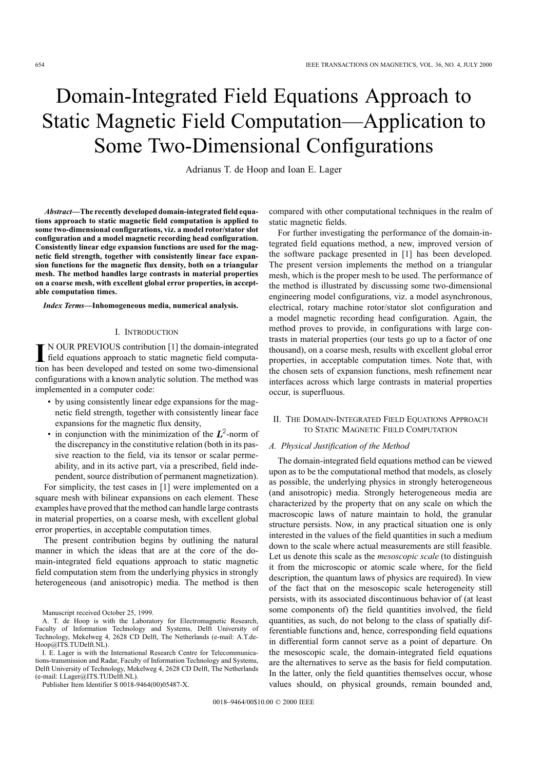# Domain-Integrated Field Equations Approach to Static Magnetic Field Computation—Application to Some Two-Dimensional Configurations

Adrianus T. de Hoop and Ioan E. Lager

*Abstract—***The recently developed domain-integrated field equations approach to static magnetic field computation is applied to some two-dimensional configurations, viz. a model rotor/stator slot configuration and a model magnetic recording head configuration. Consistently linear edge expansion functions are used for the magnetic field strength, together with consistently linear face expansion functions for the magnetic flux density, both on a triangular mesh. The method handles large contrasts in material properties on a coarse mesh, with excellent global error properties, in acceptable computation times.**

### *Index Terms—***Inhomogeneous media, numerical analysis.**

#### I. INTRODUCTION

IN OUR PREVIOUS contribution [1] the domain-integrated<br>field equations approach to static magnetic field computa-<br>tion has been davalaned and tasted on some two dimensional N OUR PREVIOUS contribution [1] the domain-integrated tion has been developed and tested on some two-dimensional configurations with a known analytic solution. The method was implemented in a computer code:

- by using consistently linear edge expansions for the magnetic field strength, together with consistently linear face expansions for the magnetic flux density,
- in conjunction with the minimization of the  $L^2$ -norm of the discrepancy in the constitutive relation (both in its passive reaction to the field, via its tensor or scalar permeability, and in its active part, via a prescribed, field independent, source distribution of permanent magnetization).

For simplicity, the test cases in [1] were implemented on a square mesh with bilinear expansions on each element. These examples have proved that the method can handle large contrasts in material properties, on a coarse mesh, with excellent global error properties, in acceptable computation times.

The present contribution begins by outlining the natural manner in which the ideas that are at the core of the domain-integrated field equations approach to static magnetic field computation stem from the underlying physics in strongly heterogeneous (and anisotropic) media. The method is then

Manuscript received October 25, 1999.

I. E. Lager is with the International Research Centre for Telecommunications-transmission and Radar, Faculty of Information Technology and Systems, Delft University of Technology, Mekelweg 4, 2628 CD Delft, The Netherlands (e-mail: I.Lager@ITS.TUDelft.NL).

Publisher Item Identifier S 0018-9464(00)05487-X.

compared with other computational techniques in the realm of static magnetic fields.

For further investigating the performance of the domain-integrated field equations method, a new, improved version of the software package presented in [1] has been developed. The present version implements the method on a triangular mesh, which is the proper mesh to be used. The performance of the method is illustrated by discussing some two-dimensional engineering model configurations, viz. a model asynchronous, electrical, rotary machine rotor/stator slot configuration and a model magnetic recording head configuration. Again, the method proves to provide, in configurations with large contrasts in material properties (our tests go up to a factor of one thousand), on a coarse mesh, results with excellent global error properties, in acceptable computation times. Note that, with the chosen sets of expansion functions, mesh refinement near interfaces across which large contrasts in material properties occur, is superfluous.

## II. THE DOMAIN-INTEGRATED FIELD EQUATIONS APPROACH TO STATIC MAGNETIC FIELD COMPUTATION

### *A. Physical Justification of the Method*

The domain-integrated field equations method can be viewed upon as to be the computational method that models, as closely as possible, the underlying physics in strongly heterogeneous (and anisotropic) media. Strongly heterogeneous media are characterized by the property that on any scale on which the macroscopic laws of nature maintain to hold, the granular structure persists. Now, in any practical situation one is only interested in the values of the field quantities in such a medium down to the scale where actual measurements are still feasible. Let us denote this scale as the *mesoscopic scale* (to distinguish it from the microscopic or atomic scale where, for the field description, the quantum laws of physics are required). In view of the fact that on the mesoscopic scale heterogeneity still persists, with its associated discontinuous behavior of (at least some components of) the field quantities involved, the field quantities, as such, do not belong to the class of spatially differentiable functions and, hence, corresponding field equations in differential form cannot serve as a point of departure. On the mesoscopic scale, the domain-integrated field equations are the alternatives to serve as the basis for field computation. In the latter, only the field quantities themselves occur, whose values should, on physical grounds, remain bounded and,

A. T. de Hoop is with the Laboratory for Electromagnetic Research, Faculty of Information Technology and Systems, Delft University of Technology, Mekelweg 4, 2628 CD Delft, The Netherlands (e-mail: A.T.de-Hoop@ITS.TUDelft.NL).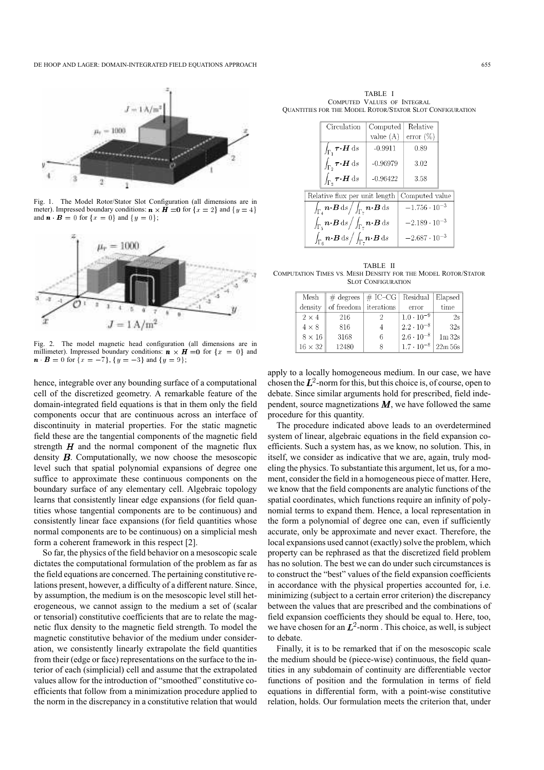

Fig. 1. The Model Rotor/Stator Slot Configuration (all dimensions are in meter). Impressed boundary conditions:  $\mathbf{n} \times \mathbf{H} = 0$  for  $\{x = 2\}$  and  $\{y = 4\}$ and  $\mathbf{n} \cdot \mathbf{B} = 0$  for  $\{x = 0\}$  and  $\{y = 0\}$ ;



Fig. 2. The model magnetic head configuration (all dimensions are in millimeter). Impressed boundary conditions:  $\mathbf{n} \times \mathbf{H} = 0$  for  $\{x = 0\}$  and  $\mathbf{n} \cdot \mathbf{B} = 0$  for  $\{x = -7\}$ ,  $\{y = -3\}$  and  $\{y = 9\}$ ;

hence, integrable over any bounding surface of a computational cell of the discretized geometry. A remarkable feature of the domain-integrated field equations is that in them only the field components occur that are continuous across an interface of discontinuity in material properties. For the static magnetic field these are the tangential components of the magnetic field strength  $H$  and the normal component of the magnetic flux density  $\bm{B}$ . Computationally, we now choose the mesoscopic level such that spatial polynomial expansions of degree one suffice to approximate these continuous components on the boundary surface of any elementary cell. Algebraic topology learns that consistently linear edge expansions (for field quantities whose tangential components are to be continuous) and consistently linear face expansions (for field quantities whose normal components are to be continuous) on a simplicial mesh form a coherent framework in this respect [2].

So far, the physics of the field behavior on a mesoscopic scale dictates the computational formulation of the problem as far as the field equations are concerned. The pertaining constitutive relations present, however, a difficulty of a different nature. Since, by assumption, the medium is on the mesoscopic level still heterogeneous, we cannot assign to the medium a set of (scalar or tensorial) constitutive coefficients that are to relate the magnetic flux density to the magnetic field strength. To model the magnetic constitutive behavior of the medium under consideration, we consistently linearly extrapolate the field quantities from their (edge or face) representations on the surface to the interior of each (simplicial) cell and assume that the extrapolated values allow for the introduction of "smoothed" constitutive coefficients that follow from a minimization procedure applied to the norm in the discrepancy in a constitutive relation that would

TABLE I COMPUTED VALUES OF INTEGRAL QUANTITIES FOR THE MODEL ROTOR/STATOR SLOT CONFIGURATION

|                                                 | Circulation                                                                                                                    | Computed               | Relative               |  |
|-------------------------------------------------|--------------------------------------------------------------------------------------------------------------------------------|------------------------|------------------------|--|
|                                                 |                                                                                                                                | value $(A)$            | $error (\%)$           |  |
|                                                 | $\int_{\Gamma_1} \boldsymbol{\tau} \boldsymbol{\cdot} \boldsymbol{H} \, \mathrm{d}s$                                           | $-0.9911$              | 0.89                   |  |
|                                                 | $\int_{\Gamma_2} \boldsymbol{\tau} \boldsymbol{\cdot} \boldsymbol{H} \, \mathrm{d}s$                                           | $-0.96979$             | 3.02                   |  |
|                                                 | $\int_{\Gamma_2} \boldsymbol{\tau} \boldsymbol{\cdot} \boldsymbol{H} \, \mathrm{d}s$                                           | $-0.96422$             | 3.58                   |  |
| Relative flux per unit length<br>Computed value |                                                                                                                                |                        |                        |  |
|                                                 | $\overline{\int_{\Gamma_\tau} \bm{n}\!\cdot\!\bm{B}\, \mathrm{d}s}\big/\int_{\Gamma_\tau} \bm{n}\!\cdot\!\bm{B}\, \mathrm{d}s$ |                        | $-1.756 \cdot 10^{-3}$ |  |
|                                                 | $\int_{\Gamma_{5}} n \cdot B \,ds \Big/ \int_{\Gamma_{7}} n \cdot B \,ds$                                                      | $-2.189 \cdot 10^{-3}$ |                        |  |
|                                                 | $\int_{\Gamma_e} n \cdot B \,ds \Big/ \int_{\Gamma_e} n \cdot B \,ds$                                                          | $-2.687 \cdot 10^{-3}$ |                        |  |
|                                                 |                                                                                                                                |                        |                        |  |

TABLE II COMPUTATION TIMES VS. MESH DENSITY FOR THE MODEL ROTOR/STATOR SLOT CONFIGURATION

| Mesh           |                       | $\#$ degrees $\#$ IC–CG Residual Elapsed |                     |            |
|----------------|-----------------------|------------------------------------------|---------------------|------------|
| density        | of freedom iterations |                                          | error               | time       |
| $2 \times 4$   | 216                   |                                          | $1.0 \cdot 10^{-9}$ | 2s         |
| $4 \times 8$   | 816                   |                                          | $2.2 \cdot 10^{-8}$ | 32s        |
| $8 \times 16$  | 3168                  | 6                                        | $2.6 \cdot 10^{-8}$ | 1m32s      |
| $16 \times 32$ | 12480                 | Я                                        | $1.7 \cdot 10^{-8}$ | $22m\,56s$ |

apply to a locally homogeneous medium. In our case, we have chosen the  $L^2$ -norm for this, but this choice is, of course, open to debate. Since similar arguments hold for prescribed, field independent, source magnetizations  $M$ , we have followed the same procedure for this quantity.

The procedure indicated above leads to an overdetermined system of linear, algebraic equations in the field expansion coefficients. Such a system has, as we know, no solution. This, in itself, we consider as indicative that we are, again, truly modeling the physics. To substantiate this argument, let us, for a moment, consider the field in a homogeneous piece of matter. Here, we know that the field components are analytic functions of the spatial coordinates, which functions require an infinity of polynomial terms to expand them. Hence, a local representation in the form a polynomial of degree one can, even if sufficiently accurate, only be approximate and never exact. Therefore, the local expansions used cannot (exactly) solve the problem, which property can be rephrased as that the discretized field problem has no solution. The best we can do under such circumstances is to construct the "best" values of the field expansion coefficients in accordance with the physical properties accounted for, i.e. minimizing (subject to a certain error criterion) the discrepancy between the values that are prescribed and the combinations of field expansion coefficients they should be equal to. Here, too, we have chosen for an  $L^2$ -norm. This choice, as well, is subject to debate.

Finally, it is to be remarked that if on the mesoscopic scale the medium should be (piece-wise) continuous, the field quantities in any subdomain of continuity are differentiable vector functions of position and the formulation in terms of field equations in differential form, with a point-wise constitutive relation, holds. Our formulation meets the criterion that, under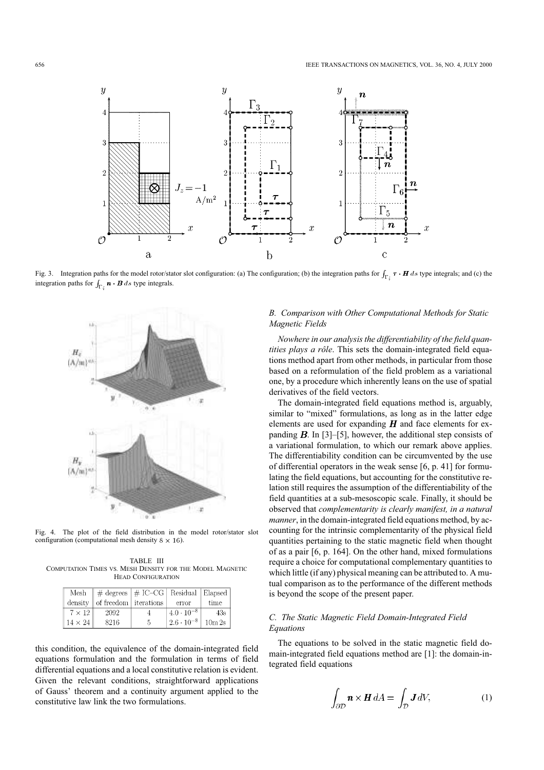

Fig. 3. Integration paths for the model rotor/stator slot configuration: (a) The configuration; (b) the integration paths for  $\int_{\Gamma_{\lambda}} \tau \cdot H ds$  type integrals; and (c) the integration paths for  $\int_{\Gamma_i} \mathbf{n} \cdot \mathbf{B} ds$  type integrals.



Fig. 4. The plot of the field distribution in the model rotor/stator slot configuration (computational mesh density  $8 \times 16$ ).

TABLE III COMPUTATION TIMES VS. MESH DENSITY FOR THE MODEL MAGNETIC HEAD CONFIGURATION

|                | Mesh $\parallel \#$ degrees $\parallel \#$ IC-CG   Residual   Elapsed |   |                        |        |
|----------------|-----------------------------------------------------------------------|---|------------------------|--------|
| density        | of freedom iterations                                                 |   | error                  | time   |
| $7 \times 12$  | 2092                                                                  |   | $\pm4.0\cdot10^{-8}$ . | 43s    |
| $14 \times 24$ | 8216                                                                  | 5 | $2.6 \cdot 10^{-8}$    | 10m 2s |

this condition, the equivalence of the domain-integrated field equations formulation and the formulation in terms of field differential equations and a local constitutive relation is evident. Given the relevant conditions, straightforward applications of Gauss' theorem and a continuity argument applied to the constitutive law link the two formulations.

# *B. Comparison with Other Computational Methods for Static Magnetic Fields*

*Nowhere in our analysis the differentiability of the field quantities plays a rôle*. This sets the domain-integrated field equations method apart from other methods, in particular from those based on a reformulation of the field problem as a variational one, by a procedure which inherently leans on the use of spatial derivatives of the field vectors.

The domain-integrated field equations method is, arguably, similar to "mixed" formulations, as long as in the latter edge elements are used for expanding  $H$  and face elements for expanding  $B$ . In [3]–[5], however, the additional step consists of a variational formulation, to which our remark above applies. The differentiability condition can be circumvented by the use of differential operators in the weak sense [6, p. 41] for formulating the field equations, but accounting for the constitutive relation still requires the assumption of the differentiability of the field quantities at a sub-mesoscopic scale. Finally, it should be observed that *complementarity is clearly manifest, in a natural manner*, in the domain-integrated field equations method, by accounting for the intrinsic complementarity of the physical field quantities pertaining to the static magnetic field when thought of as a pair [6, p. 164]. On the other hand, mixed formulations require a choice for computational complementary quantities to which little (if any) physical meaning can be attributed to. A mutual comparison as to the performance of the different methods is beyond the scope of the present paper.

# *C. The Static Magnetic Field Domain-Integrated Field Equations*

The equations to be solved in the static magnetic field domain-integrated field equations method are [1]: the domain-integrated field equations

$$
\int_{\partial \mathcal{D}} \mathbf{n} \times \mathbf{H} \, dA = \int_{\mathcal{D}} \mathbf{J} \, dV,\tag{1}
$$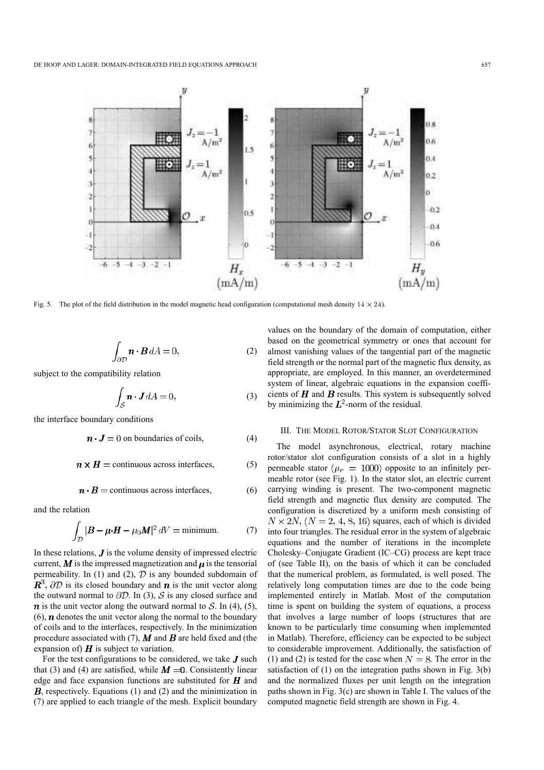

Fig. 5. The plot of the field distribution in the model magnetic head configuration (computational mesh density  $14 \times 24$ ).

$$
\int_{\partial \mathcal{D}} \mathbf{n} \cdot \mathbf{B} \, dA = 0,\tag{2}
$$

subject to the compatibility relation

$$
\int_{\mathcal{S}} \mathbf{n} \cdot \mathbf{J} \, dA = 0,\tag{3}
$$

the interface boundary conditions

$$
\mathbf{n} \cdot \mathbf{J} = 0
$$
 on boundaries of coils, (4)

 $n \times H =$  continuous across interfaces, (5)

$$
n \cdot B = \text{continuous across interfaces}, \tag{6}
$$

and the relation

$$
\int_{\mathcal{D}} |B - \mu \cdot H - \mu_0 M|^2 \, dV = \text{minimum.} \tag{7}
$$

In these relations,  $J$  is the volume density of impressed electric current,  $M$  is the impressed magnetization and  $\mu$  is the tensorial permeability. In (1) and (2),  $D$  is any bounded subdomain of  $\mathbb{R}^3$ ,  $\partial \mathcal{D}$  is its closed boundary and **n** is the unit vector along the outward normal to  $\partial \mathcal{D}$ . In (3), S is any closed surface and  $\boldsymbol{n}$  is the unit vector along the outward normal to  $\mathcal{S}$ . In (4), (5),  $(6)$ , *n* denotes the unit vector along the normal to the boundary of coils and to the interfaces, respectively. In the minimization procedure associated with (7),  $\vec{M}$  and  $\vec{B}$  are held fixed and (the expansion of)  $\boldsymbol{H}$  is subject to variation.

For the test configurations to be considered, we take  $J$  such that (3) and (4) are satisfied, while  $M = 0$ . Consistently linear edge and face expansion functions are substituted for  $\boldsymbol{H}$  and  $B$ , respectively. Equations (1) and (2) and the minimization in (7) are applied to each triangle of the mesh. Explicit boundary

values on the boundary of the domain of computation, either based on the geometrical symmetry or ones that account for almost vanishing values of the tangential part of the magnetic field strength or the normal part of the magnetic flux density, as appropriate, are employed. In this manner, an overdetermined system of linear, algebraic equations in the expansion coefficients of  $H$  and  $B$  results. This system is subsequently solved by minimizing the  $L^2$ -norm of the residual.

#### III. THE MODEL ROTOR/STATOR SLOT CONFIGURATION

The model asynchronous, electrical, rotary machine rotor/stator slot configuration consists of a slot in a highly permeable stator ( $\mu_r = 1000$ ) opposite to an infinitely permeable rotor (see Fig. 1). In the stator slot, an electric current carrying winding is present. The two-component magnetic field strength and magnetic flux density are computed. The configuration is discretized by a uniform mesh consisting of  $N \times 2N$ ,  $(N = 2, 4, 8, 16)$  squares, each of which is divided into four triangles. The residual error in the system of algebraic equations and the number of iterations in the incomplete Cholesky–Conjugate Gradient (IC–CG) process are kept trace of (see Table II), on the basis of which it can be concluded that the numerical problem, as formulated, is well posed. The relatively long computation times are due to the code being implemented entirely in Matlab. Most of the computation time is spent on building the system of equations, a process that involves a large number of loops (structures that are known to be particularly time consuming when implemented in Matlab). Therefore, efficiency can be expected to be subject to considerable improvement. Additionally, the satisfaction of (1) and (2) is tested for the case when  $N = 8$ . The error in the satisfaction of (1) on the integration paths shown in Fig. 3(b) and the normalized fluxes per unit length on the integration paths shown in Fig. 3(c) are shown in Table I. The values of the computed magnetic field strength are shown in Fig. 4.